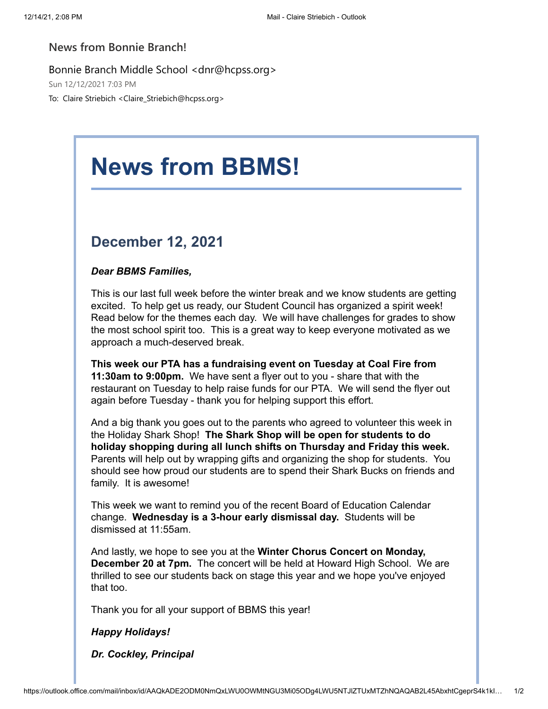## **News from Bonnie Branch!**

Bonnie Branch Middle School <dnr@hcpss.org>

Sun 12/12/2021 7:03 PM

To: Claire Striebich <Claire\_Striebich@hcpss.org>

## **News from BBMS!**

## **December 12, 2021**

## *Dear BBMS Families,*

This is our last full week before the winter break and we know students are getting excited. To help get us ready, our Student Council has organized a spirit week! Read below for the themes each day. We will have challenges for grades to show the most school spirit too. This is a great way to keep everyone motivated as we approach a much-deserved break.

**This week our PTA has a fundraising event on Tuesday at Coal Fire from 11:30am to 9:00pm.** We have sent a flyer out to you - share that with the restaurant on Tuesday to help raise funds for our PTA. We will send the flyer out again before Tuesday - thank you for helping support this effort.

And a big thank you goes out to the parents who agreed to volunteer this week in the Holiday Shark Shop! **The Shark Shop will be open for students to do holiday shopping during all lunch shifts on Thursday and Friday this week.** Parents will help out by wrapping gifts and organizing the shop for students. You should see how proud our students are to spend their Shark Bucks on friends and family. It is awesome!

This week we want to remind you of the recent Board of Education Calendar change. **Wednesday is a 3-hour early dismissal day.** Students will be dismissed at 11:55am.

And lastly, we hope to see you at the **Winter Chorus Concert on Monday, December 20 at 7pm.** The concert will be held at Howard High School. We are thrilled to see our students back on stage this year and we hope you've enjoyed that too.

Thank you for all your support of BBMS this year!

*Happy Holidays!*

*Dr. Cockley, Principal*